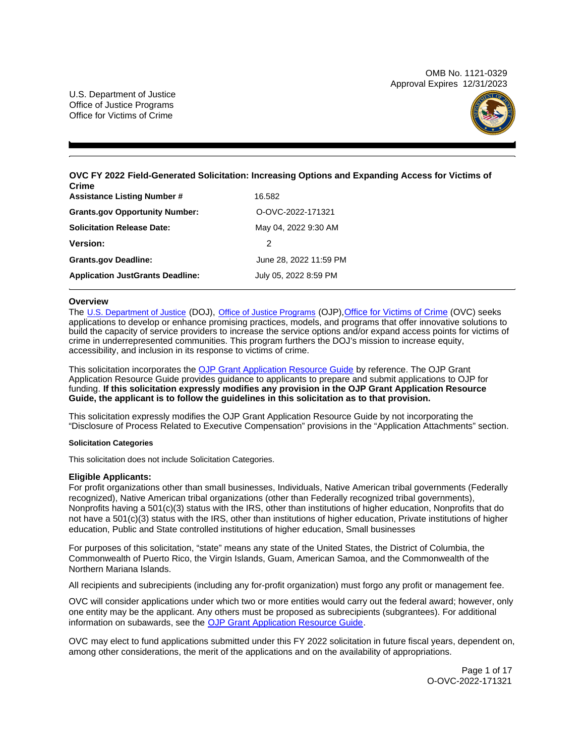OMB No. 1121-0329 Approval Expires 12/31/2023

U.S. Department of Justice Office of Justice Programs Office for Victims of Crime



**OVC FY 2022 Field-Generated Solicitation: Increasing Options and Expanding Access for Victims of Crime** 

| <b>Assistance Listing Number #</b>      | 16.582                 |
|-----------------------------------------|------------------------|
| <b>Grants.gov Opportunity Number:</b>   | O-OVC-2022-171321      |
| <b>Solicitation Release Date:</b>       | May 04, 2022 9:30 AM   |
| <b>Version:</b>                         | 2                      |
| <b>Grants.gov Deadline:</b>             | June 28, 2022 11:59 PM |
| <b>Application JustGrants Deadline:</b> | July 05, 2022 8:59 PM  |

# **Overview**

The [U.S. Department of Justice](https://www.usdoj.gov/) (DOJ), [Office of Justice Programs](https://www.ojp.usdoj.gov/) (OJP)[,Office for Victims of Crime](http://www.ovc.ojp.gov/) (OVC) seeks applications to develop or enhance promising practices, models, and programs that offer innovative solutions to build the capacity of service providers to increase the service options and/or expand access points for victims of crime in underrepresented communities. This program furthers the DOJ's mission to increase equity, accessibility, and inclusion in its response to victims of crime.

This solicitation incorporates the [OJP Grant Application Resource Guide](https://www.ojp.gov/funding/Apply/Resources/Grant-App-Resource-Guide.htm) by reference. The OJP Grant Application Resource Guide provides guidance to applicants to prepare and submit applications to OJP for funding. **If this solicitation expressly modifies any provision in the OJP Grant Application Resource Guide, the applicant is to follow the guidelines in this solicitation as to that provision.** 

This solicitation expressly modifies the OJP Grant Application Resource Guide by not incorporating the "Disclosure of Process Related to Executive Compensation" provisions in the "Application Attachments" section.

### **Solicitation Categories**

This solicitation does not include Solicitation Categories.

# **Eligible Applicants:**

For profit organizations other than small businesses, Individuals, Native American tribal governments (Federally recognized), Native American tribal organizations (other than Federally recognized tribal governments), Nonprofits having a 501(c)(3) status with the IRS, other than institutions of higher education, Nonprofits that do not have a 501(c)(3) status with the IRS, other than institutions of higher education, Private institutions of higher education, Public and State controlled institutions of higher education, Small businesses

For purposes of this solicitation, "state" means any state of the United States, the District of Columbia, the Commonwealth of Puerto Rico, the Virgin Islands, Guam, American Samoa, and the Commonwealth of the Northern Mariana Islands.

All recipients and subrecipients (including any for-profit organization) must forgo any profit or management fee.

OVC will consider applications under which two or more entities would carry out the federal award; however, only one entity may be the applicant. Any others must be proposed as subrecipients (subgrantees). For additional information on subawards, see the [OJP Grant Application Resource Guide.](https://www.ojp.gov/funding/Apply/Resources/Grant-App-Resource-Guide.htm)

OVC may elect to fund applications submitted under this FY 2022 solicitation in future fiscal years, dependent on, among other considerations, the merit of the applications and on the availability of appropriations.

> Page 1 of 17 O-OVC-2022-171321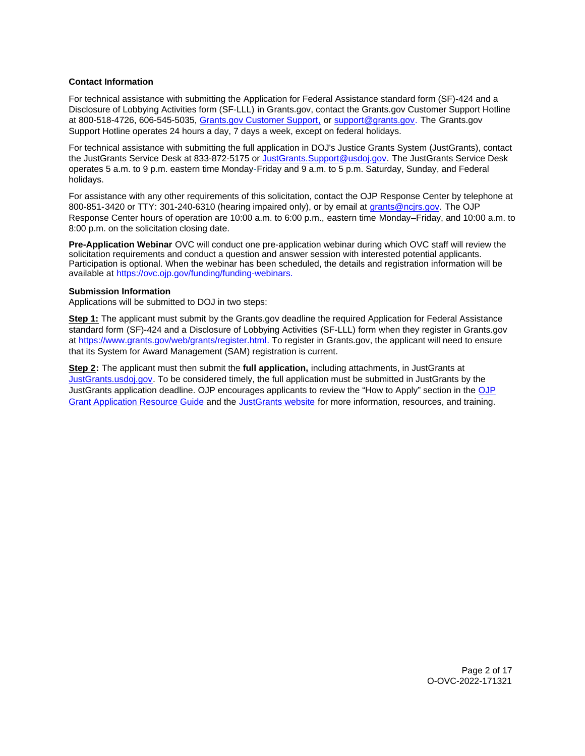# <span id="page-1-0"></span>**Contact Information**

For technical assistance with submitting the Application for Federal Assistance standard form (SF)-424 and a Disclosure of Lobbying Activities form (SF-LLL) in [Grants.gov](https://Grants.gov), contact the [Grants.gov](https://Grants.gov) Customer Support Hotline at 800-518-4726, 606-545-5035, [Grants.gov Customer Support,](https://www.grants.gov/web/grants/support.html) or [support@grants.gov.](mailto:support@grants.gov) The [Grants.gov](https://Grants.gov) Support Hotline operates 24 hours a day, 7 days a week, except on federal holidays.

For technical assistance with submitting the full application in DOJ's Justice Grants System (JustGrants), contact the JustGrants Service Desk at 833-872-5175 or [JustGrants.Support@usdoj.gov.](mailto:JustGrants.Support@usdoj.gov) The JustGrants Service Desk operates 5 a.m. to 9 p.m. eastern time Monday-Friday and 9 a.m. to 5 p.m. Saturday, Sunday, and Federal holidays.

For assistance with any other requirements of this solicitation, contact the OJP Response Center by telephone at 800-851-3420 or TTY: 301-240-6310 (hearing impaired only), or by email at [grants@ncjrs.gov.](mailto:grants@ncjrs.gov) The OJP Response Center hours of operation are 10:00 a.m. to 6:00 p.m., eastern time Monday–Friday, and 10:00 a.m. to 8:00 p.m. on the solicitation closing date.

**Pre-Application Webinar** OVC will conduct one pre-application webinar during which OVC staff will review the solicitation requirements and conduct a question and answer session with interested potential applicants. Participation is optional. When the webinar has been scheduled, the details and registration information will be available at <https://ovc.ojp.gov/funding/funding-webinars>.

## **Submission Information**

Applications will be submitted to DOJ in two steps:

**Step 1:** The applicant must submit by the [Grants.gov](https://Grants.gov) deadline the required Application for Federal Assistance standard form (SF)-424 and a Disclosure of Lobbying Activities (SF-LLL) form when they register in [Grants.gov](https://Grants.gov) at [https://www.grants.gov/web/grants/register.html.](https://www.grants.gov/web/grants/register.html) To register in [Grants.gov](https://Grants.gov), the applicant will need to ensure that its System for Award Management (SAM) registration is current.

**Step 2:** The applicant must then submit the **full application,** including attachments, in JustGrants at [JustGrants.usdoj.gov.](https://justicegrants.usdoj.gov/) To be considered timely, the full application must be submitted in JustGrants by the JustGrants application deadline. OJP encourages applicants to review the "How to Apply" section in the [OJP](https://www.ojp.gov/funding/apply/ojp-grant-application-resource-guide#apply)  [Grant Application Resource Guide](https://www.ojp.gov/funding/apply/ojp-grant-application-resource-guide#apply) and the [JustGrants website](https://justicegrants.usdoj.gov/news) for more information, resources, and training.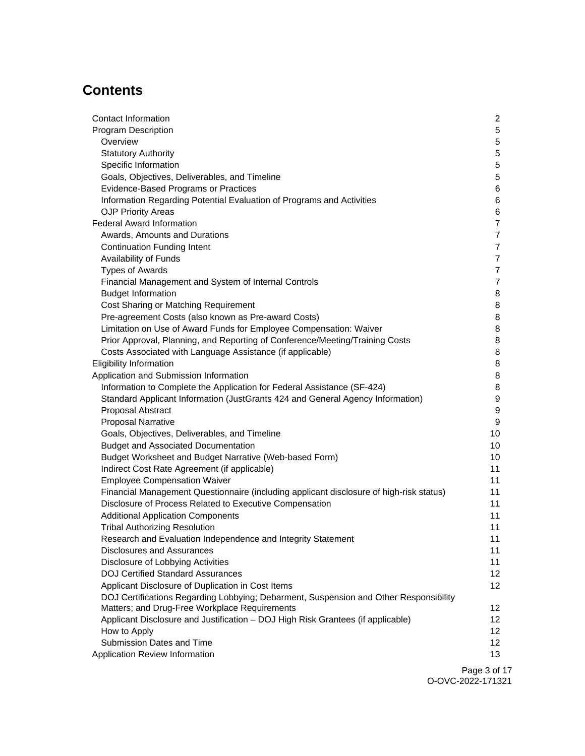# **Contents**

| Contact Information                                                                     | 2               |
|-----------------------------------------------------------------------------------------|-----------------|
| <b>Program Description</b>                                                              | 5               |
| Overview                                                                                | 5               |
| <b>Statutory Authority</b>                                                              | 5               |
| Specific Information                                                                    | 5               |
| Goals, Objectives, Deliverables, and Timeline                                           | 5               |
| Evidence-Based Programs or Practices                                                    | 6               |
| Information Regarding Potential Evaluation of Programs and Activities                   | 6               |
| <b>OJP Priority Areas</b>                                                               | 6               |
| <b>Federal Award Information</b>                                                        | 7               |
| Awards, Amounts and Durations                                                           | 7               |
| <b>Continuation Funding Intent</b>                                                      | $\overline{7}$  |
| Availability of Funds                                                                   | $\overline{7}$  |
| <b>Types of Awards</b>                                                                  | $\overline{7}$  |
| Financial Management and System of Internal Controls                                    | $\overline{7}$  |
| <b>Budget Information</b>                                                               | 8               |
| Cost Sharing or Matching Requirement                                                    | 8               |
| Pre-agreement Costs (also known as Pre-award Costs)                                     | 8               |
| Limitation on Use of Award Funds for Employee Compensation: Waiver                      | 8               |
| Prior Approval, Planning, and Reporting of Conference/Meeting/Training Costs            | 8               |
| Costs Associated with Language Assistance (if applicable)                               | 8               |
| <b>Eligibility Information</b>                                                          | 8               |
| Application and Submission Information                                                  | 8               |
| Information to Complete the Application for Federal Assistance (SF-424)                 | 8               |
| Standard Applicant Information (JustGrants 424 and General Agency Information)          | 9               |
| Proposal Abstract                                                                       | 9               |
| <b>Proposal Narrative</b>                                                               | 9               |
| Goals, Objectives, Deliverables, and Timeline                                           | 10              |
| <b>Budget and Associated Documentation</b>                                              | 10              |
| Budget Worksheet and Budget Narrative (Web-based Form)                                  | 10              |
| Indirect Cost Rate Agreement (if applicable)                                            | 11              |
| <b>Employee Compensation Waiver</b>                                                     | 11              |
| Financial Management Questionnaire (including applicant disclosure of high-risk status) | 11              |
| Disclosure of Process Related to Executive Compensation                                 | 11              |
| <b>Additional Application Components</b>                                                | 11              |
| <b>Tribal Authorizing Resolution</b>                                                    | 11              |
| Research and Evaluation Independence and Integrity Statement                            | 11              |
| Disclosures and Assurances                                                              | 11              |
| Disclosure of Lobbying Activities                                                       | 11              |
| <b>DOJ Certified Standard Assurances</b>                                                | 12 <sup>2</sup> |
| Applicant Disclosure of Duplication in Cost Items                                       | 12              |
| DOJ Certifications Regarding Lobbying; Debarment, Suspension and Other Responsibility   |                 |
| Matters; and Drug-Free Workplace Requirements                                           | 12              |
| Applicant Disclosure and Justification - DOJ High Risk Grantees (if applicable)         | 12 <sup>2</sup> |
| How to Apply                                                                            | 12 <sup>2</sup> |
| Submission Dates and Time                                                               | 12              |
| Application Review Information                                                          | 13              |
|                                                                                         | Dao 3 of 1      |

Page 3 of 17 O-OVC-2022-171321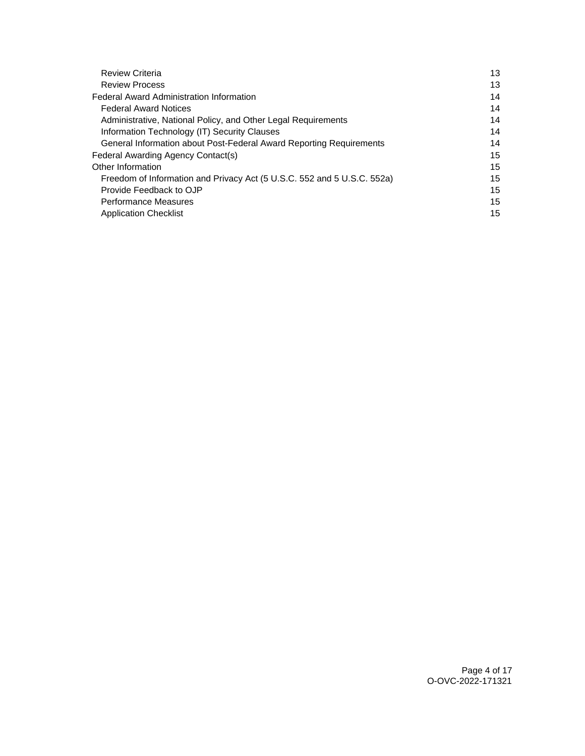| <b>Review Criteria</b>                                                  | 13 |
|-------------------------------------------------------------------------|----|
| <b>Review Process</b>                                                   | 13 |
| <b>Federal Award Administration Information</b>                         | 14 |
| <b>Federal Award Notices</b>                                            | 14 |
| Administrative, National Policy, and Other Legal Requirements           | 14 |
| Information Technology (IT) Security Clauses                            | 14 |
| General Information about Post-Federal Award Reporting Requirements     | 14 |
| Federal Awarding Agency Contact(s)                                      | 15 |
| Other Information                                                       | 15 |
| Freedom of Information and Privacy Act (5 U.S.C. 552 and 5 U.S.C. 552a) | 15 |
| Provide Feedback to OJP                                                 | 15 |
| <b>Performance Measures</b>                                             | 15 |
| <b>Application Checklist</b>                                            | 15 |
|                                                                         |    |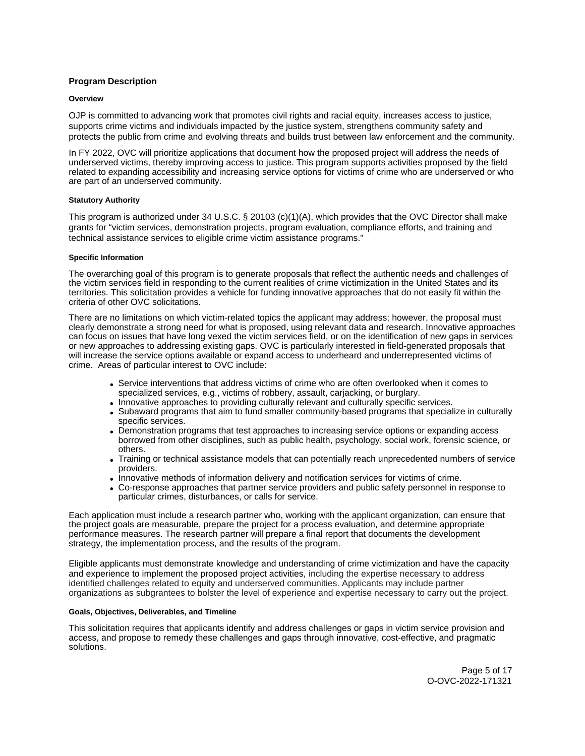# <span id="page-4-0"></span>**Program Description**

## **Overview**

OJP is committed to advancing work that promotes civil rights and racial equity, increases access to justice, supports crime victims and individuals impacted by the justice system, strengthens community safety and protects the public from crime and evolving threats and builds trust between law enforcement and the community.

In FY 2022, OVC will prioritize applications that document how the proposed project will address the needs of underserved victims, thereby improving access to justice. This program supports activities proposed by the field related to expanding accessibility and increasing service options for victims of crime who are underserved or who are part of an underserved community.

## **Statutory Authority**

This program is authorized under 34 U.S.C. § 20103 (c)(1)(A), which provides that the OVC Director shall make grants for "victim services, demonstration projects, program evaluation, compliance efforts, and training and technical assistance services to eligible crime victim assistance programs."

### **Specific Information**

The overarching goal of this program is to generate proposals that reflect the authentic needs and challenges of the victim services field in responding to the current realities of crime victimization in the United States and its territories. This solicitation provides a vehicle for funding innovative approaches that do not easily fit within the criteria of other OVC solicitations.

There are no limitations on which victim-related topics the applicant may address; however, the proposal must clearly demonstrate a strong need for what is proposed, using relevant data and research. Innovative approaches can focus on issues that have long vexed the victim services field, or on the identification of new gaps in services or new approaches to addressing existing gaps. OVC is particularly interested in field-generated proposals that will increase the service options available or expand access to underheard and underrepresented victims of crime. Areas of particular interest to OVC include:

- Service interventions that address victims of crime who are often overlooked when it comes to specialized services, e.g., victims of robbery, assault, carjacking, or burglary.
- Innovative approaches to providing culturally relevant and culturally specific services.
- Subaward programs that aim to fund smaller community-based programs that specialize in culturally specific services.
- Demonstration programs that test approaches to increasing service options or expanding access borrowed from other disciplines, such as public health, psychology, social work, forensic science, or others.
- Training or technical assistance models that can potentially reach unprecedented numbers of service providers.
- Innovative methods of information delivery and notification services for victims of crime.
- Co-response approaches that partner service providers and public safety personnel in response to particular crimes, disturbances, or calls for service.

Each application must include a research partner who, working with the applicant organization, can ensure that the project goals are measurable, prepare the project for a process evaluation, and determine appropriate performance measures. The research partner will prepare a final report that documents the development strategy, the implementation process, and the results of the program.

Eligible applicants must demonstrate knowledge and understanding of crime victimization and have the capacity and experience to implement the proposed project activities, including the expertise necessary to address identified challenges related to equity and underserved communities. Applicants may include partner organizations as subgrantees to bolster the level of experience and expertise necessary to carry out the project.

## **Goals, Objectives, Deliverables, and Timeline**

This solicitation requires that applicants identify and address challenges or gaps in victim service provision and access, and propose to remedy these challenges and gaps through innovative, cost-effective, and pragmatic solutions.

> Page 5 of 17 O-OVC-2022-171321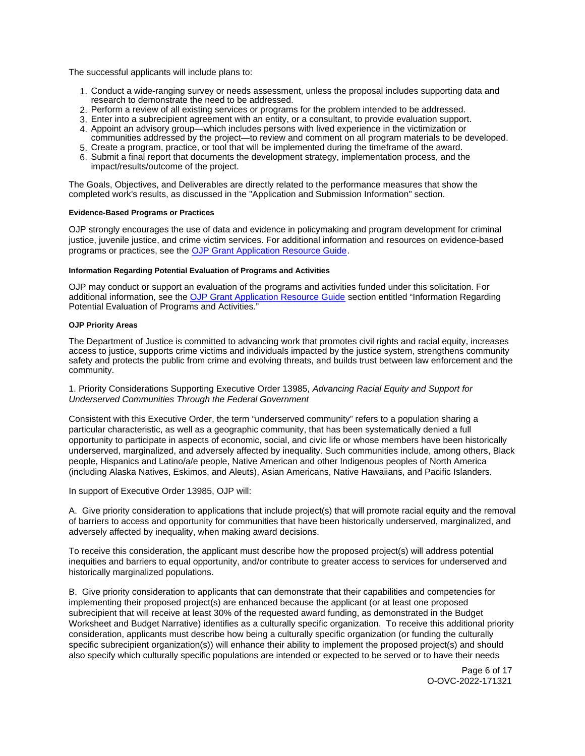<span id="page-5-0"></span>The successful applicants will include plans to:

- 1. Conduct a wide-ranging survey or needs assessment, unless the proposal includes supporting data and research to demonstrate the need to be addressed.
- 2. Perform a review of all existing services or programs for the problem intended to be addressed.
- 3. Enter into a subrecipient agreement with an entity, or a consultant, to provide evaluation support.
- 4. Appoint an advisory group—which includes persons with lived experience in the victimization or communities addressed by the project—to review and comment on all program materials to be developed.
- 5. Create a program, practice, or tool that will be implemented during the timeframe of the award.
- 6. Submit a final report that documents the development strategy, implementation process, and the impact/results/outcome of the project.

The Goals, Objectives, and Deliverables are directly related to the performance measures that show the completed work's results, as discussed in the "Application and Submission Information" section.

## **Evidence-Based Programs or Practices**

OJP strongly encourages the use of data and evidence in policymaking and program development for criminal justice, juvenile justice, and crime victim services. For additional information and resources on evidence-based programs or practices, see the [OJP Grant Application Resource Guide.](https://www.ojp.gov/funding/apply/ojp-grant-application-resource-guide#evidence-based)

#### **Information Regarding Potential Evaluation of Programs and Activities**

OJP may conduct or support an evaluation of the programs and activities funded under this solicitation. For additional information, see the [OJP Grant Application Resource Guide](https://www.ojp.gov/funding/apply/ojp-grant-application-resource-guide#potential-evaluation) section entitled "Information Regarding Potential Evaluation of Programs and Activities."

## **OJP Priority Areas**

The Department of Justice is committed to advancing work that promotes civil rights and racial equity, increases access to justice, supports crime victims and individuals impacted by the justice system, strengthens community safety and protects the public from crime and evolving threats, and builds trust between law enforcement and the community.

1. Priority Considerations Supporting Executive Order 13985, Advancing Racial Equity and Support for Underserved Communities Through the Federal Government

Consistent with this Executive Order, the term "underserved community" refers to a population sharing a particular characteristic, as well as a geographic community, that has been systematically denied a full opportunity to participate in aspects of economic, social, and civic life or whose members have been historically underserved, marginalized, and adversely affected by inequality. Such communities include, among others, Black people, Hispanics and Latino/a/e people, Native American and other Indigenous peoples of North America (including Alaska Natives, Eskimos, and Aleuts), Asian Americans, Native Hawaiians, and Pacific Islanders.

In support of Executive Order 13985, OJP will:

A. Give priority consideration to applications that include project(s) that will promote racial equity and the removal of barriers to access and opportunity for communities that have been historically underserved, marginalized, and adversely affected by inequality, when making award decisions.

To receive this consideration, the applicant must describe how the proposed project(s) will address potential inequities and barriers to equal opportunity, and/or contribute to greater access to services for underserved and historically marginalized populations.

B. Give priority consideration to applicants that can demonstrate that their capabilities and competencies for implementing their proposed project(s) are enhanced because the applicant (or at least one proposed subrecipient that will receive at least 30% of the requested award funding, as demonstrated in the Budget Worksheet and Budget Narrative) identifies as a culturally specific organization. To receive this additional priority consideration, applicants must describe how being a culturally specific organization (or funding the culturally specific subrecipient organization(s)) will enhance their ability to implement the proposed project(s) and should also specify which culturally specific populations are intended or expected to be served or to have their needs

> Page 6 of 17 O-OVC-2022-171321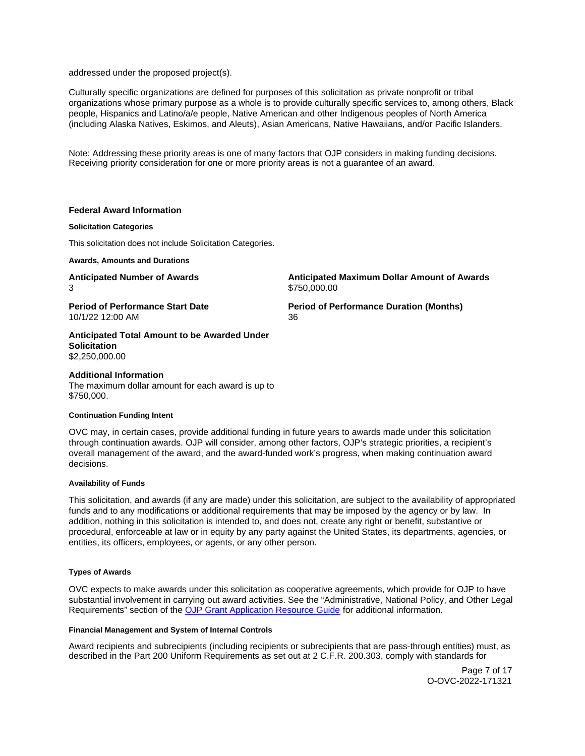<span id="page-6-0"></span>addressed under the proposed project(s).

Culturally specific organizations are defined for purposes of this solicitation as private nonprofit or tribal organizations whose primary purpose as a whole is to provide culturally specific services to, among others, Black people, Hispanics and Latino/a/e people, Native American and other Indigenous peoples of North America (including Alaska Natives, Eskimos, and Aleuts), Asian Americans, Native Hawaiians, and/or Pacific Islanders.

Note: Addressing these priority areas is one of many factors that OJP considers in making funding decisions. Receiving priority consideration for one or more priority areas is not a guarantee of an award.

# **Federal Award Information**

## **Solicitation Categories**

This solicitation does not include Solicitation Categories.

**Awards, Amounts and Durations** 

**Anticipated Number of Awards Anticipated Maximum Dollar Amount of Awards**  3 \$750,000.00

**Period of Performance Start Date Period of Performance Duration (Months)**  10/1/22 12:00 AM 36

**Anticipated Total Amount to be Awarded Under Solicitation**  \$2,250,000.00

## **Additional Information**

The maximum dollar amount for each award is up to \$750,000.

### **Continuation Funding Intent**

OVC may, in certain cases, provide additional funding in future years to awards made under this solicitation through continuation awards. OJP will consider, among other factors, OJP's strategic priorities, a recipient's overall management of the award, and the award-funded work's progress, when making continuation award decisions.

### **Availability of Funds**

This solicitation, and awards (if any are made) under this solicitation, are subject to the availability of appropriated funds and to any modifications or additional requirements that may be imposed by the agency or by law. In addition, nothing in this solicitation is intended to, and does not, create any right or benefit, substantive or procedural, enforceable at law or in equity by any party against the United States, its departments, agencies, or entities, its officers, employees, or agents, or any other person.

## **Types of Awards**

OVC expects to make awards under this solicitation as cooperative agreements, which provide for OJP to have substantial involvement in carrying out award activities. See the "Administrative, National Policy, and Other Legal Requirements" section of the [OJP Grant Application Resource Guide](https://www.ojp.gov/funding/apply/ojp-grant-application-resource-guide#administrative) for additional information.

## **Financial Management and System of Internal Controls**

Award recipients and subrecipients (including recipients or subrecipients that are pass-through entities) must, as described in the Part 200 Uniform Requirements as set out at 2 C.F.R. 200.303, comply with standards for

> Page 7 of 17 O-OVC-2022-171321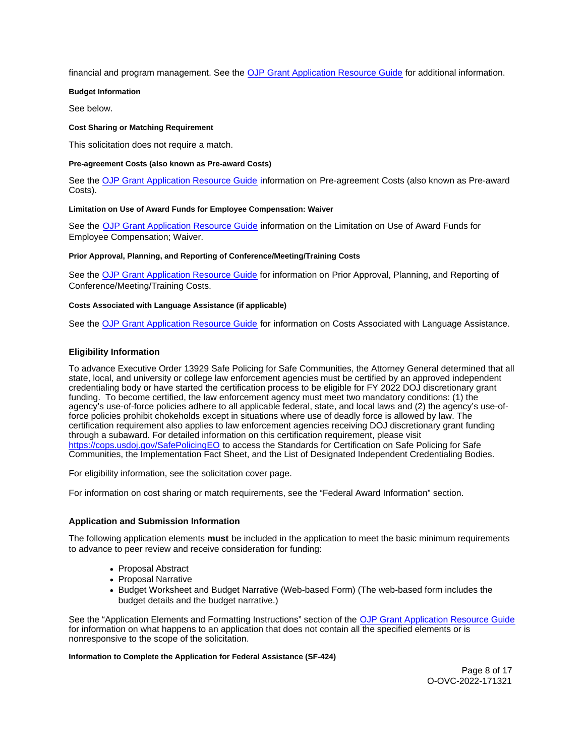<span id="page-7-0"></span>financial and program management. See the [OJP Grant Application Resource Guide](https://www.ojp.gov/funding/apply/ojp-grant-application-resource-guide#fm-internal-controls) for additional information.

## **Budget Information**

See below.

## **Cost Sharing or Matching Requirement**

This solicitation does not require a match.

## **Pre-agreement Costs (also known as Pre-award Costs)**

See the [OJP Grant Application Resource Guide](https://www.ojp.gov/funding/apply/ojp-grant-application-resource-guide#pre-agreement-costs) information on Pre-agreement Costs (also known as Pre-award Costs).

## **Limitation on Use of Award Funds for Employee Compensation: Waiver**

See the [OJP Grant Application Resource Guide](https://www.ojp.gov/funding/apply/ojp-grant-application-resource-guide#limitation-use-award) information on the Limitation on Use of Award Funds for Employee Compensation; Waiver.

#### **Prior Approval, Planning, and Reporting of Conference/Meeting/Training Costs**

See the [OJP Grant Application Resource Guide](https://www.ojp.gov/funding/apply/ojp-grant-application-resource-guide#prior-approval) for information on Prior Approval, Planning, and Reporting of Conference/Meeting/Training Costs.

### **Costs Associated with Language Assistance (if applicable)**

See the [OJP Grant Application Resource Guide](https://www.ojp.gov/funding/apply/ojp-grant-application-resource-guide#costs-associated) for information on Costs Associated with Language Assistance.

## **Eligibility Information**

To advance Executive Order 13929 Safe Policing for Safe Communities, the Attorney General determined that all state, local, and university or college law enforcement agencies must be certified by an approved independent credentialing body or have started the certification process to be eligible for FY 2022 DOJ discretionary grant funding. To become certified, the law enforcement agency must meet two mandatory conditions: (1) the agency's use-of-force policies adhere to all applicable federal, state, and local laws and (2) the agency's use-offorce policies prohibit chokeholds except in situations where use of deadly force is allowed by law. The certification requirement also applies to law enforcement agencies receiving DOJ discretionary grant funding through a subaward. For detailed information on this certification requirement, please visit [https://cops.usdoj.gov/SafePolicingEO](https://cops.usdoj.gov/SafePolicingEO%20) to access the Standards for Certification on Safe Policing for Safe Communities, the Implementation Fact Sheet, and the List of Designated Independent Credentialing Bodies.

For eligibility information, see the solicitation cover page.

For information on cost sharing or match requirements, see the "Federal Award Information" section.

### **Application and Submission Information**

The following application elements **must** be included in the application to meet the basic minimum requirements to advance to peer review and receive consideration for funding:

- Proposal Abstract
- Proposal Narrative
- Budget Worksheet and Budget Narrative (Web-based Form) (The web-based form includes the budget details and the budget narrative.)

See the "Application Elements and Formatting Instructions" section of the [OJP Grant Application Resource Guide](https://www.ojp.gov/funding/apply/ojp-grant-application-resource-guide#application-elements)  for information on what happens to an application that does not contain all the specified elements or is nonresponsive to the scope of the solicitation.

#### **Information to Complete the Application for Federal Assistance (SF-424)**

Page 8 of 17 O-OVC-2022-171321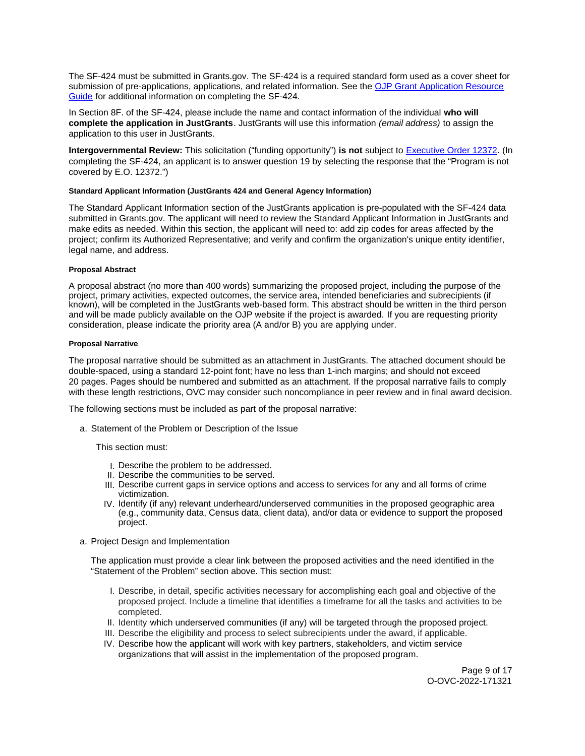<span id="page-8-0"></span>The SF-424 must be submitted in [Grants.gov](https://Grants.gov). The SF-424 is a required standard form used as a cover sheet for submission of pre-applications, applications, and related information. See the OJP Grant Application Resource [Guide](https://www.ojp.gov/funding/apply/ojp-grant-application-resource-guide#complete-application) for additional information on completing the SF-424.

In Section 8F. of the SF-424, please include the name and contact information of the individual **who will complete the application in JustGrants**. JustGrants will use this information (email address) to assign the application to this user in JustGrants.

**Intergovernmental Review:** This solicitation ("funding opportunity") **is not** subject to [Executive Order 12372.](https://www.archives.gov/federal-register/codification/executive-order/12372.html) (In completing the SF-424, an applicant is to answer question 19 by selecting the response that the "Program is not covered by E.O. 12372.")

#### **Standard Applicant Information (JustGrants 424 and General Agency Information)**

The Standard Applicant Information section of the JustGrants application is pre-populated with the SF-424 data submitted in [Grants.gov.](https://Grants.gov) The applicant will need to review the Standard Applicant Information in JustGrants and make edits as needed. Within this section, the applicant will need to: add zip codes for areas affected by the project; confirm its Authorized Representative; and verify and confirm the organization's unique entity identifier, legal name, and address.

#### **Proposal Abstract**

A proposal abstract (no more than 400 words) summarizing the proposed project, including the purpose of the project, primary activities, expected outcomes, the service area, intended beneficiaries and subrecipients (if known), will be completed in the JustGrants web-based form. This abstract should be written in the third person and will be made publicly available on the OJP website if the project is awarded. If you are requesting priority consideration, please indicate the priority area (A and/or B) you are applying under.

#### **Proposal Narrative**

The proposal narrative should be submitted as an attachment in JustGrants. The attached document should be double-spaced, using a standard 12-point font; have no less than 1-inch margins; and should not exceed 20 pages. Pages should be numbered and submitted as an attachment. If the proposal narrative fails to comply with these length restrictions, OVC may consider such noncompliance in peer review and in final award decision.

The following sections must be included as part of the proposal narrative:

a. Statement of the Problem or Description of the Issue

This section must:

- I. Describe the problem to be addressed.
- II. Describe the communities to be served.
- III. Describe current gaps in service options and access to services for any and all forms of crime victimization.
- IV. Identify (if any) relevant underheard/underserved communities in the proposed geographic area (e.g., community data, Census data, client data), and/or data or evidence to support the proposed project.
- a. Project Design and Implementation

The application must provide a clear link between the proposed activities and the need identified in the "Statement of the Problem" section above. This section must:

- I. Describe, in detail, specific activities necessary for accomplishing each goal and objective of the proposed project. Include a timeline that identifies a timeframe for all the tasks and activities to be completed.
- II. Identity which underserved communities (if any) will be targeted through the proposed project.
- III. Describe the eligibility and process to select subrecipients under the award, if applicable.
- IV. Describe how the applicant will work with key partners, stakeholders, and victim service organizations that will assist in the implementation of the proposed program.

Page 9 of 17 O-OVC-2022-171321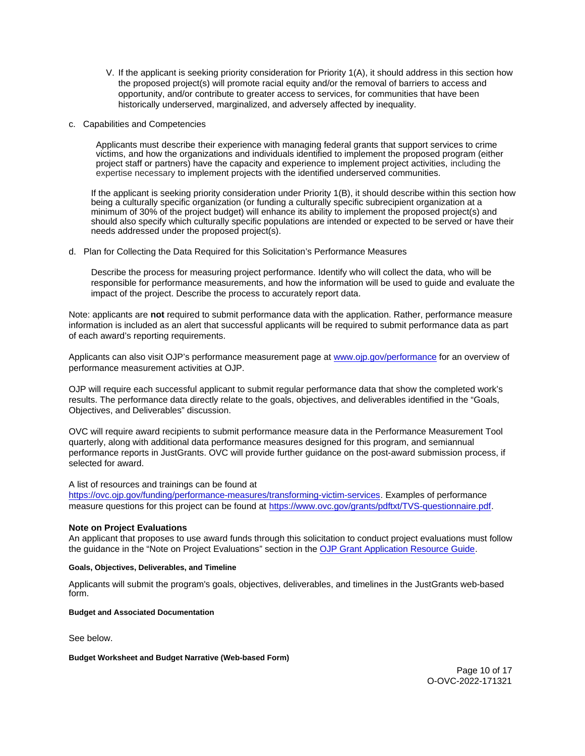- <span id="page-9-0"></span>V. If the applicant is seeking priority consideration for Priority 1(A), it should address in this section how the proposed project(s) will promote racial equity and/or the removal of barriers to access and opportunity, and/or contribute to greater access to services, for communities that have been historically underserved, marginalized, and adversely affected by inequality.
- c. Capabilities and Competencies

Applicants must describe their experience with managing federal grants that support services to crime victims, and how the organizations and individuals identified to implement the proposed program (either project staff or partners) have the capacity and experience to implement project activities, including the expertise necessary to implement projects with the identified underserved communities.

If the applicant is seeking priority consideration under Priority 1(B), it should describe within this section how being a culturally specific organization (or funding a culturally specific subrecipient organization at a minimum of 30% of the project budget) will enhance its ability to implement the proposed project(s) and should also specify which culturally specific populations are intended or expected to be served or have their needs addressed under the proposed project(s).

d. Plan for Collecting the Data Required for this Solicitation's Performance Measures

Describe the process for measuring project performance. Identify who will collect the data, who will be responsible for performance measurements, and how the information will be used to guide and evaluate the impact of the project. Describe the process to accurately report data.

Note: applicants are **not** required to submit performance data with the application. Rather, performance measure information is included as an alert that successful applicants will be required to submit performance data as part of each award's reporting requirements.

Applicants can also visit OJP's performance measurement page at [www.ojp.gov/performance](https://www.ojp.gov/performance) for an overview of performance measurement activities at OJP.

OJP will require each successful applicant to submit regular performance data that show the completed work's results. The performance data directly relate to the goals, objectives, and deliverables identified in the "Goals, Objectives, and Deliverables" discussion.

OVC will require award recipients to submit performance measure data in the Performance Measurement Tool quarterly, along with additional data performance measures designed for this program, and semiannual performance reports in JustGrants. OVC will provide further guidance on the post-award submission process, if selected for award.

A list of resources and trainings can be found at

[https://ovc.ojp.gov/funding/performance-measures/transforming-victim-services.](https://ovc.ojp.gov/funding/performance-measures/transforming-victim-services) Examples of performance measure questions for this project can be found at [https://www.ovc.gov/grants/pdftxt/TVS-questionnaire.pdf.](https://www.ovc.gov/grants/pdftxt/TVS-questionnaire.pdf)

# **Note on Project Evaluations**

An applicant that proposes to use award funds through this solicitation to conduct project evaluations must follow the guidance in the "Note on Project Evaluations" section in the [OJP Grant Application Resource Guide.](https://www.ojp.gov/funding/apply/ojp-grant-application-resource-guide#project-evaluations)

# **Goals, Objectives, Deliverables, and Timeline**

Applicants will submit the program's goals, objectives, deliverables, and timelines in the JustGrants web-based form.

### **Budget and Associated Documentation**

See below.

### **Budget Worksheet and Budget Narrative (Web-based Form)**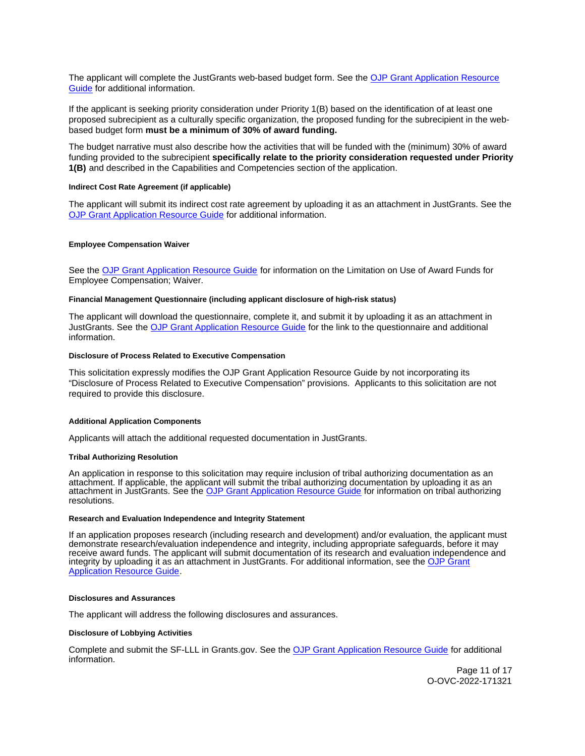<span id="page-10-0"></span>The applicant will complete the JustGrants web-based budget form. See the [OJP Grant Application Resource](https://www.ojp.gov/funding/apply/ojp-grant-application-resource-guide#budget-prep)  [Guide](https://www.ojp.gov/funding/apply/ojp-grant-application-resource-guide#budget-prep) for additional information.

If the applicant is seeking priority consideration under Priority 1(B) based on the identification of at least one proposed subrecipient as a culturally specific organization, the proposed funding for the subrecipient in the webbased budget form **must be a minimum of 30% of award funding.** 

The budget narrative must also describe how the activities that will be funded with the (minimum) 30% of award funding provided to the subrecipient **specifically relate to the priority consideration requested under Priority 1(B)** and described in the Capabilities and Competencies section of the application.

# **Indirect Cost Rate Agreement (if applicable)**

The applicant will submit its indirect cost rate agreement by uploading it as an attachment in JustGrants. See the [OJP Grant Application Resource Guide](https://www.ojp.gov/funding/apply/ojp-grant-application-resource-guide#indirect-cost) for additional information.

#### **Employee Compensation Waiver**

See the [OJP Grant Application Resource Guide](https://www.ojp.gov/funding/apply/ojp-grant-application-resource-guide#limitation-use-award) for information on the Limitation on Use of Award Funds for Employee Compensation; Waiver.

## **Financial Management Questionnaire (including applicant disclosure of high-risk status)**

The applicant will download the questionnaire, complete it, and submit it by uploading it as an attachment in JustGrants. See the [OJP Grant Application Resource Guide](https://www.ojp.gov/funding/apply/ojp-grant-application-resource-guide#fm-internal-controls-questionnaire) for the link to the questionnaire and additional information.

## **Disclosure of Process Related to Executive Compensation**

This solicitation expressly modifies the OJP Grant Application Resource Guide by not incorporating its "Disclosure of Process Related to Executive Compensation" provisions. Applicants to this solicitation are not required to provide this disclosure.

### **Additional Application Components**

Applicants will attach the additional requested documentation in JustGrants.

#### **Tribal Authorizing Resolution**

An application in response to this solicitation may require inclusion of tribal authorizing documentation as an attachment. If applicable, the applicant will submit the tribal authorizing documentation by uploading it as an attachment in JustGrants. See the [OJP Grant Application Resource Guide](https://www.ojp.gov/funding/apply/ojp-grant-application-resource-guide#tribal-authorizing-resolution) for information on tribal authorizing resolutions.

#### **Research and Evaluation Independence and Integrity Statement**

If an application proposes research (including research and development) and/or evaluation, the applicant must demonstrate research/evaluation independence and integrity, including appropriate safeguards, before it may receive award funds. The applicant will submit documentation of its research and evaluation independence and integrity by uploading it as an attachment in JustGrants. For additional information, see the [OJP Grant](https://www.ojp.gov/funding/apply/ojp-grant-application-resource-guide#research-evaluation)  [Application Resource Guide.](https://www.ojp.gov/funding/apply/ojp-grant-application-resource-guide#research-evaluation)

#### **Disclosures and Assurances**

The applicant will address the following disclosures and assurances.

### **Disclosure of Lobbying Activities**

Complete and submit the SF-LLL in [Grants.gov.](https://Grants.gov) See the [OJP Grant Application Resource Guide](https://www.ojp.gov/funding/apply/ojp-grant-application-resource-guide#disclosure-lobby) for additional information.

> Page 11 of 17 O-OVC-2022-171321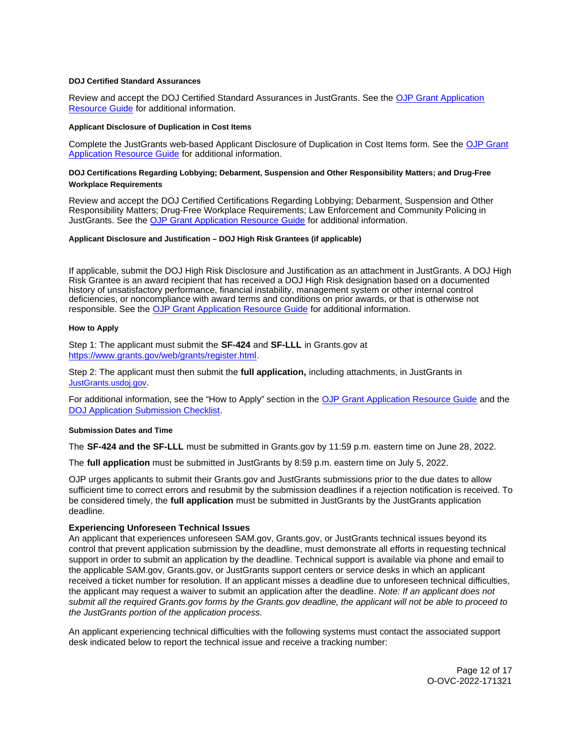# <span id="page-11-0"></span>**DOJ Certified Standard Assurances**

Review and accept the DOJ Certified Standard Assurances in JustGrants. See the [OJP Grant Application](https://www.ojp.gov/funding/apply/ojp-grant-application-resource-guide#administrative)  [Resource Guide](https://www.ojp.gov/funding/apply/ojp-grant-application-resource-guide#administrative) for additional information.

## **Applicant Disclosure of Duplication in Cost Items**

Complete the JustGrants web-based Applicant Disclosure of Duplication in Cost Items form. See the [OJP Grant](https://www.ojp.gov/funding/apply/ojp-grant-application-resource-guide#applicant-disclosure-pending-applications)  [Application Resource Guide](https://www.ojp.gov/funding/apply/ojp-grant-application-resource-guide#applicant-disclosure-pending-applications) for additional information.

# **DOJ Certifications Regarding Lobbying; Debarment, Suspension and Other Responsibility Matters; and Drug-Free Workplace Requirements**

Review and accept the DOJ Certified Certifications Regarding Lobbying; Debarment, Suspension and Other Responsibility Matters; Drug-Free Workplace Requirements; Law Enforcement and Community Policing in JustGrants. See the [OJP Grant Application Resource Guide](https://www.ojp.gov/funding/apply/ojp-grant-application-resource-guide#administrative) for additional information.

#### **Applicant Disclosure and Justification – DOJ High Risk Grantees (if applicable)**

If applicable, submit the DOJ High Risk Disclosure and Justification as an attachment in JustGrants. A DOJ High Risk Grantee is an award recipient that has received a DOJ High Risk designation based on a documented history of unsatisfactory performance, financial instability, management system or other internal control deficiencies, or noncompliance with award terms and conditions on prior awards, or that is otherwise not responsible. See the [OJP Grant Application Resource Guide](https://www.ojp.gov/funding/apply/ojp-grant-application-resource-guide) for additional information.

#### **How to Apply**

Step 1: The applicant must submit the **SF-424** and **SF-LLL** in [Grants.gov](https://Grants.gov) at [https://www.grants.gov/web/grants/register.html.](https://www.grants.gov/web/grants/register.html)

Step 2: The applicant must then submit the **full application,** including attachments, in JustGrants in [JustGrants.usdoj.gov.](https://justicegrants.usdoj.gov/)

For additional information, see the "How to Apply" section in the [OJP Grant Application Resource Guide](https://www.ojp.gov/funding/apply/ojp-grant-application-resource-guide#apply) and the [DOJ Application Submission Checklist.](https://justicegrants.usdoj.gov/sites/g/files/xyckuh296/files/media/document/appln-submission-checklist.pdf)

#### **Submission Dates and Time**

The **SF-424 and the SF-LLL** must be submitted in [Grants.gov](https://Grants.gov) by 11:59 p.m. eastern time on June 28, 2022.

The **full application** must be submitted in JustGrants by 8:59 p.m. eastern time on July 5, 2022.

OJP urges applicants to submit their [Grants.gov](https://Grants.gov) and JustGrants submissions prior to the due dates to allow sufficient time to correct errors and resubmit by the submission deadlines if a rejection notification is received. To be considered timely, the **full application** must be submitted in JustGrants by the JustGrants application deadline.

## **Experiencing Unforeseen Technical Issues**

An applicant that experiences unforeseen SAM.gov, [Grants.gov,](https://Grants.gov) or JustGrants technical issues beyond its control that prevent application submission by the deadline, must demonstrate all efforts in requesting technical support in order to submit an application by the deadline. Technical support is available via phone and email to the applicable SAM.gov, [Grants.gov,](https://Grants.gov) or JustGrants support centers or service desks in which an applicant received a ticket number for resolution. If an applicant misses a deadline due to unforeseen technical difficulties, the applicant may request a waiver to submit an application after the deadline. Note: If an applicant does not submit all the required [Grants.gov](https://Grants.gov) forms by the [Grants.gov](https://Grants.gov) deadline, the applicant will not be able to proceed to the JustGrants portion of the application process.

An applicant experiencing technical difficulties with the following systems must contact the associated support desk indicated below to report the technical issue and receive a tracking number:

> Page 12 of 17 O-OVC-2022-171321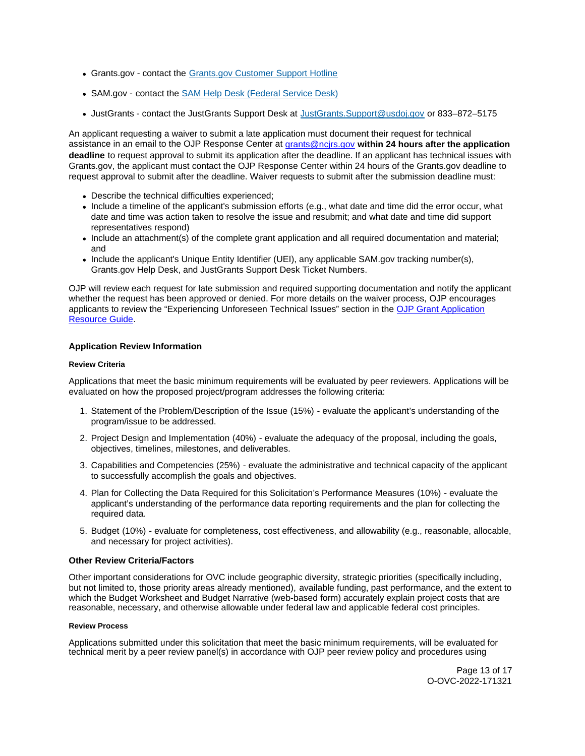- <span id="page-12-0"></span>[Grants.gov](https://Grants.gov) - contact the [Grants.gov Customer Support Hotline](https://www.grants.gov/web/grants/support.html)
- SAM.gov contact the [SAM Help Desk \(Federal Service Desk\)](https://www.fsd.gov/gsafsd_sp)
- JustGrants contact the JustGrants Support Desk at [JustGrants.Support@usdoj.gov](mailto:JustGrants.Support@usdoj.gov) or 833–872–5175

An applicant requesting a waiver to submit a late application must document their request for technical assistance in an email to the OJP Response Center at [grants@ncjrs.gov](file:///C:/Users/local_Yehj/INetCache/Content.Outlook/20U4XBR7/grants@ncjrs.gov) **within 24 hours after the application deadline** to request approval to submit its application after the deadline. If an applicant has technical issues with [Grants.gov,](https://Grants.gov) the applicant must contact the OJP Response Center within 24 hours of the [Grants.gov](https://Grants.gov) deadline to request approval to submit after the deadline. Waiver requests to submit after the submission deadline must:

- Describe the technical difficulties experienced;
- Include a timeline of the applicant's submission efforts (e.g., what date and time did the error occur, what date and time was action taken to resolve the issue and resubmit; and what date and time did support representatives respond)
- Include an attachment(s) of the complete grant application and all required documentation and material; and
- Include the applicant's Unique Entity Identifier (UEI), any applicable SAM.gov tracking number(s), [Grants.gov](https://Grants.gov) Help Desk, and JustGrants Support Desk Ticket Numbers.

OJP will review each request for late submission and required supporting documentation and notify the applicant whether the request has been approved or denied. For more details on the waiver process, OJP encourages applicants to review the "Experiencing Unforeseen Technical Issues" section in the [OJP Grant Application](https://www.ojp.gov/funding/apply/ojp-grant-application-resource-guide#experiencing-unforeseen-technical-issues)  [Resource Guide.](https://www.ojp.gov/funding/apply/ojp-grant-application-resource-guide#experiencing-unforeseen-technical-issues)

# **Application Review Information**

## **Review Criteria**

Applications that meet the basic minimum requirements will be evaluated by peer reviewers. Applications will be evaluated on how the proposed project/program addresses the following criteria:

- 1. Statement of the Problem/Description of the Issue (15%) evaluate the applicant's understanding of the program/issue to be addressed.
- 2. Project Design and Implementation (40%) evaluate the adequacy of the proposal, including the goals, objectives, timelines, milestones, and deliverables.
- 3. Capabilities and Competencies (25%) evaluate the administrative and technical capacity of the applicant to successfully accomplish the goals and objectives.
- 4. Plan for Collecting the Data Required for this Solicitation's Performance Measures (10%) evaluate the applicant's understanding of the performance data reporting requirements and the plan for collecting the required data.
- 5. Budget (10%) evaluate for completeness, cost effectiveness, and allowability (e.g., reasonable, allocable, and necessary for project activities).

# **Other Review Criteria/Factors**

Other important considerations for OVC include geographic diversity, strategic priorities (specifically including, but not limited to, those priority areas already mentioned), available funding, past performance, and the extent to which the Budget Worksheet and Budget Narrative (web-based form) accurately explain project costs that are reasonable, necessary, and otherwise allowable under federal law and applicable federal cost principles.

# **Review Process**

Applications submitted under this solicitation that meet the basic minimum requirements, will be evaluated for technical merit by a peer review panel(s) in accordance with OJP peer review policy and procedures using

> Page 13 of 17 O-OVC-2022-171321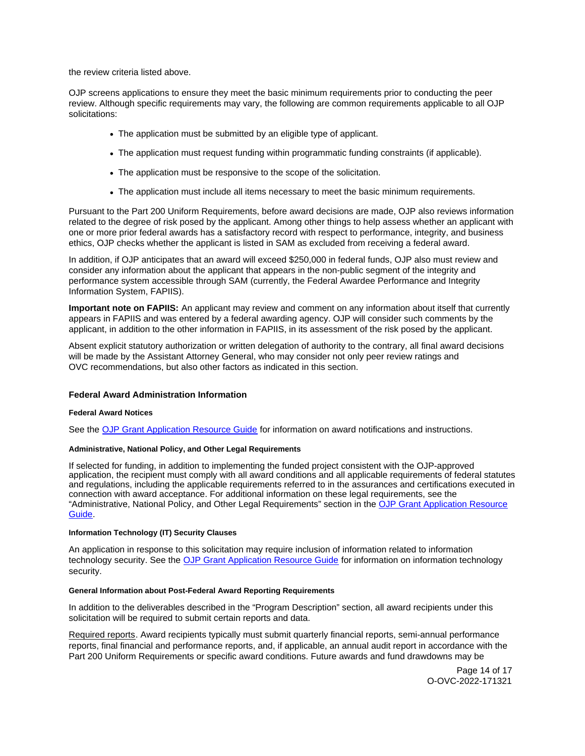<span id="page-13-0"></span>the review criteria listed above.

OJP screens applications to ensure they meet the basic minimum requirements prior to conducting the peer review. Although specific requirements may vary, the following are common requirements applicable to all OJP solicitations:

- The application must be submitted by an eligible type of applicant.
- The application must request funding within programmatic funding constraints (if applicable).
- The application must be responsive to the scope of the solicitation.
- The application must include all items necessary to meet the basic minimum requirements.

Pursuant to the Part 200 Uniform Requirements, before award decisions are made, OJP also reviews information related to the degree of risk posed by the applicant. Among other things to help assess whether an applicant with one or more prior federal awards has a satisfactory record with respect to performance, integrity, and business ethics, OJP checks whether the applicant is listed in SAM as excluded from receiving a federal award.

In addition, if OJP anticipates that an award will exceed \$250,000 in federal funds, OJP also must review and consider any information about the applicant that appears in the non-public segment of the integrity and performance system accessible through SAM (currently, the Federal Awardee Performance and Integrity Information System, FAPIIS).

**Important note on FAPIIS:** An applicant may review and comment on any information about itself that currently appears in FAPIIS and was entered by a federal awarding agency. OJP will consider such comments by the applicant, in addition to the other information in FAPIIS, in its assessment of the risk posed by the applicant.

Absent explicit statutory authorization or written delegation of authority to the contrary, all final award decisions will be made by the Assistant Attorney General, who may consider not only peer review ratings and OVC recommendations, but also other factors as indicated in this section.

### **Federal Award Administration Information**

### **Federal Award Notices**

See the [OJP Grant Application Resource Guide](https://www.ojp.gov/funding/apply/ojp-grant-application-resource-guide#federal-award-notices) for information on award notifications and instructions.

# **Administrative, National Policy, and Other Legal Requirements**

If selected for funding, in addition to implementing the funded project consistent with the OJP-approved application, the recipient must comply with all award conditions and all applicable requirements of federal statutes and regulations, including the applicable requirements referred to in the assurances and certifications executed in connection with award acceptance. For additional information on these legal requirements, see the "Administrative, National Policy, and Other Legal Requirements" section in the [OJP Grant Application Resource](https://www.ojp.gov/funding/apply/ojp-grant-application-resource-guide#administrative)  [Guide.](https://www.ojp.gov/funding/apply/ojp-grant-application-resource-guide#administrative)

## **Information Technology (IT) Security Clauses**

An application in response to this solicitation may require inclusion of information related to information technology security. See the [OJP Grant Application Resource Guide](https://www.ojp.gov/funding/apply/ojp-grant-application-resource-guide#information-technology) for information on information technology security.

## **General Information about Post-Federal Award Reporting Requirements**

In addition to the deliverables described in the "Program Description" section, all award recipients under this solicitation will be required to submit certain reports and data.

Required reports. Award recipients typically must submit quarterly financial reports, semi-annual performance reports, final financial and performance reports, and, if applicable, an annual audit report in accordance with the Part 200 Uniform Requirements or specific award conditions. Future awards and fund drawdowns may be

> Page 14 of 17 O-OVC-2022-171321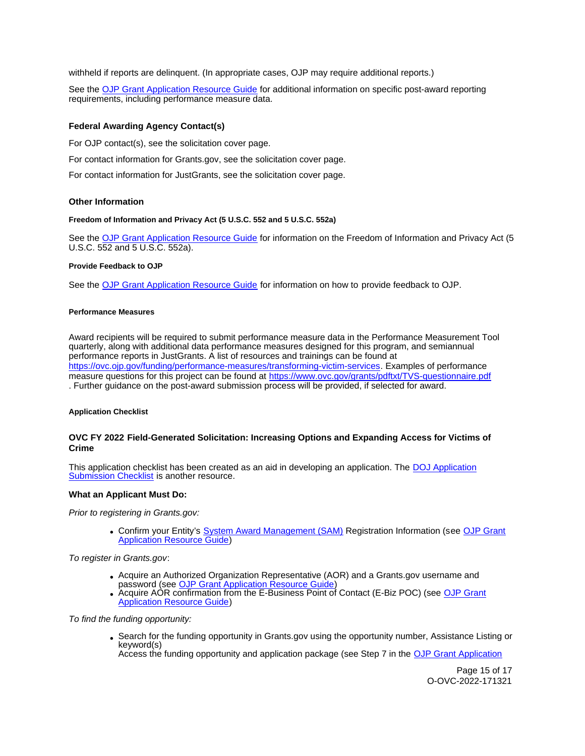<span id="page-14-0"></span>withheld if reports are delinquent. (In appropriate cases, OJP may require additional reports.)

See the [OJP Grant Application Resource Guide](https://www.ojp.gov/funding/apply/ojp-grant-application-resource-guide#general-information) for additional information on specific post-award reporting requirements, including performance measure data.

# **Federal Awarding Agency Contact(s)**

For OJP contact(s), see the solicitation cover page.

For contact information for [Grants.gov](https://Grants.gov), see the solicitation cover page.

For contact information for JustGrants, see the solicitation cover page.

### **Other Information**

#### **Freedom of Information and Privacy Act (5 U.S.C. 552 and 5 U.S.C. 552a)**

See the [OJP Grant Application Resource Guide](https://www.ojp.gov/funding/apply/ojp-grant-application-resource-guide#foia) for information on the Freedom of Information and Privacy Act (5 U.S.C. 552 and 5 U.S.C. 552a).

#### **Provide Feedback to OJP**

See the [OJP Grant Application Resource Guide](https://www.ojp.gov/funding/apply/ojp-grant-application-resource-guide#feedback) for information on how to provide feedback to OJP.

#### **Performance Measures**

Award recipients will be required to submit performance measure data in the Performance Measurement Tool quarterly, along with additional data performance measures designed for this program, and semiannual performance reports in JustGrants. A list of resources and trainings can be found at [https://ovc.ojp.gov/funding/performance-measures/transforming-victim-services.](https://ovc.ojp.gov/funding/performance-measures/transforming-victim-services) Examples of performance measure questions for this project can be found at https://www.ovc.gov/grants/pdftxt/TVS-questionnaire.pdf . Further guidance on the post-award submission process will be provided, if selected for award.

### **Application Checklist**

# **OVC FY 2022 Field-Generated Solicitation: Increasing Options and Expanding Access for Victims of Crime**

This application checklist has been created as an aid in developing an application. The DOJ Application [Submission Checklist](https://justicegrants.usdoj.gov/sites/g/files/xyckuh296/files/media/document/appln-submission-checklist.pdf) is another resource.

## **What an Applicant Must Do:**

Prior to registering in [Grants.gov](https://Grants.gov):

• Confirm your Entity's [System Award Management \(SAM\)](https://sam.gov/SAM/) Registration Information (see OJP Grant [Application Resource Guide\)](https://www.ojp.gov/funding/apply/ojp-grant-application-resource-guide#apply)

To register in [Grants.gov](https://Grants.gov):

- Acquire an Authorized Organization Representative (AOR) and a [Grants.gov](https://Grants.gov) username and password (see [OJP Grant Application Resource Guide\)](https://www.ojp.gov/funding/apply/ojp-grant-application-resource-guide#apply)
- Acquire AOR confirmation from the E-Business Point of Contact (E-Biz POC) (see OJP Grant [Application Resource Guide\)](https://www.ojp.gov/funding/apply/ojp-grant-application-resource-guide#apply)

To find the funding opportunity:

Search for the funding opportunity in [Grants.gov](https://Grants.gov) using the opportunity number, Assistance Listing or keyword(s) Access the funding opportunity and application package (see Step 7 in the [OJP Grant Application](https://www.ojp.gov/funding/apply/ojp-grant-application-resource-guide#apply) 

> Page 15 of 17 O-OVC-2022-171321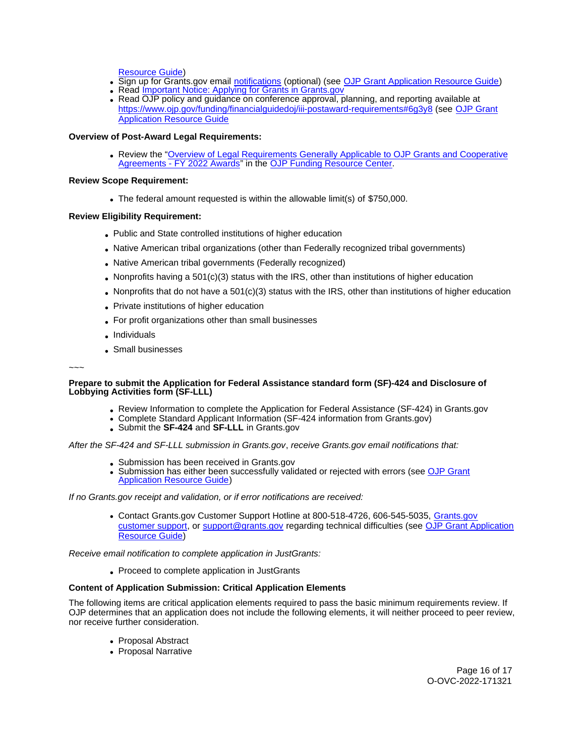[Resource Guide\)](https://www.ojp.gov/funding/apply/ojp-grant-application-resource-guide#apply)

- Sign up for [Grants.gov](https://Grants.gov) email [notifications](https://www.grants.gov/web/grants/manage-subscriptions.html) (optional) (see [OJP Grant Application Resource Guide\)](https://www.ojp.gov/funding/apply/ojp-grant-application-resource-guide#apply)
- Read Important Notice: Applying for Grants in Grants.gov
- Read OJP policy and guidance on conference approval, planning, and reporting available at <https://www.ojp.gov/funding/financialguidedoj/iii-postaward-requirements#6g3y8>(see [OJP Grant](https://www.ojp.gov/funding/apply/ojp-grant-application-resource-guide#prior-approval)  [Application Resource Guide](https://www.ojp.gov/funding/apply/ojp-grant-application-resource-guide#prior-approval)

# **Overview of Post-Award Legal Requirements:**

Review the "[Overview of Legal Requirements Generally Applicable to OJP Grants and Cooperative](https://www.ojp.gov/funding/explore/legal-overview-awards)  [Agreements - FY 2022 Awards"](https://www.ojp.gov/funding/explore/legal-overview-awards) in the [OJP Funding Resource Center.](https://www.ojp.gov/funding/explore/legal-overview-awards)

## **Review Scope Requirement:**

The federal amount requested is within the allowable limit(s) of \$750,000.

## **Review Eligibility Requirement:**

- Public and State controlled institutions of higher education
- Native American tribal organizations (other than Federally recognized tribal governments)
- Native American tribal governments (Federally recognized)
- Nonprofits having a  $501(c)(3)$  status with the IRS, other than institutions of higher education
- Nonprofits that do not have a 501(c)(3) status with the IRS, other than institutions of higher education
- Private institutions of higher education
- For profit organizations other than small businesses
- Individuals
- Small businesses

~~~

## **Prepare to submit the Application for Federal Assistance standard form (SF)-424 and Disclosure of Lobbying Activities form (SF-LLL)**

- Review Information to complete the Application for Federal Assistance (SF-424) in [Grants.gov](https://Grants.gov)
- Complete Standard Applicant Information (SF-424 information from [Grants.gov\)](https://Grants.gov)
- Submit the **SF-424** and **SF-LLL** in [Grants.gov](https://Grants.gov)

After the SF-424 and SF-LLL submission in [Grants.gov](https://Grants.gov), receive [Grants.gov](https://Grants.gov) email notifications that:

- Submission has been received in [Grants.gov](https://Grants.gov)
- Submission has either been successfully validated or rejected with errors (see [OJP Grant](https://www.ojp.gov/funding/apply/ojp-grant-application-resource-guide#apply)  [Application Resource Guide\)](https://www.ojp.gov/funding/apply/ojp-grant-application-resource-guide#apply)

If no [Grants.gov](https://Grants.gov) receipt and validation, or if error notifications are received:

Contact [Grants.gov](https://Grants.gov) Customer Support Hotline at 800-518-4726, 606-545-5035, [Grants.gov](https://www.grants.gov/web/grants/support.html)  [customer support,](https://www.grants.gov/web/grants/support.html) or [support@grants.gov](mailto:support@grants.gov) regarding technical difficulties (see [OJP Grant Application](https://www.ojp.gov/funding/apply/ojp-grant-application-resource-guide#apply)  [Resource Guide\)](https://www.ojp.gov/funding/apply/ojp-grant-application-resource-guide#apply)

Receive email notification to complete application in JustGrants:

Proceed to complete application in JustGrants

# **Content of Application Submission: Critical Application Elements**

The following items are critical application elements required to pass the basic minimum requirements review. If OJP determines that an application does not include the following elements, it will neither proceed to peer review, nor receive further consideration.

- Proposal Abstract
- Proposal Narrative

Page 16 of 17 O-OVC-2022-171321